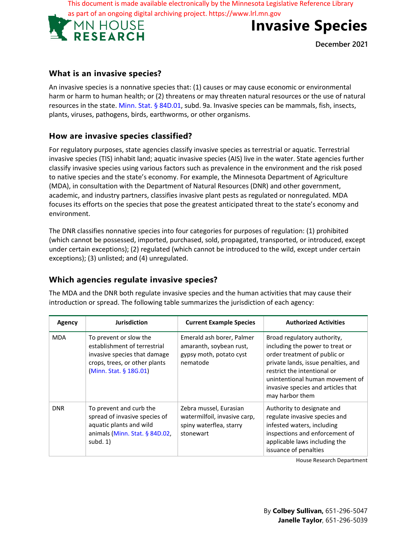This document is made available electronically by the Minnesota Legislative Reference Library





**December 2021**

### **What is an invasive species?**

An invasive species is a nonnative species that: (1) causes or may cause economic or environmental harm or harm to human health; or (2) threatens or may threaten natural resources or the use of natural resources in the state. Minn. Stat. § 84D.01, subd. 9a. Invasive species can be mammals, fish, insects, plants, viruses, pathogens, birds, earthworms, or other organisms.

### **How are invasive species classified?**

For regulatory purposes, state agencies classify invasive species as terrestrial or aquatic. Terrestrial invasive species (TIS) inhabit land; aquatic invasive species (AIS) live in the water. State agencies further classify invasive species using various factors such as prevalence in the environment and the risk posed to native species and the state's economy. For example, the Minnesota Department of Agriculture (MDA), in consultation with the Department of Natural Resources (DNR) and other government, academic, and industry partners, classifies invasive plant pests as regulated or nonregulated. MDA focuses its efforts on the species that pose the greatest anticipated threat to the state's economy and environment.

The DNR classifies nonnative species into four categories for purposes of regulation: (1) prohibited (which cannot be possessed, imported, purchased, sold, propagated, transported, or introduced, except under certain exceptions); (2) regulated (which cannot be introduced to the wild, except under certain exceptions); (3) unlisted; and (4) unregulated.

### **Which agencies regulate invasive species?**

The MDA and the DNR both regulate invasive species and the human activities that may cause their introduction or spread. The following table summarizes the jurisdiction of each agency:

| Agency     | <b>Jurisdiction</b>                                                                                                                               | <b>Current Example Species</b>                                                                 | <b>Authorized Activities</b>                                                                                                                                                                                                                                     |
|------------|---------------------------------------------------------------------------------------------------------------------------------------------------|------------------------------------------------------------------------------------------------|------------------------------------------------------------------------------------------------------------------------------------------------------------------------------------------------------------------------------------------------------------------|
| <b>MDA</b> | To prevent or slow the<br>establishment of terrestrial<br>invasive species that damage<br>crops, trees, or other plants<br>(Minn. Stat. § 18G.01) | Emerald ash borer, Palmer<br>amaranth, soybean rust,<br>gypsy moth, potato cyst<br>nematode    | Broad regulatory authority,<br>including the power to treat or<br>order treatment of public or<br>private lands, issue penalties, and<br>restrict the intentional or<br>unintentional human movement of<br>invasive species and articles that<br>may harbor them |
| <b>DNR</b> | To prevent and curb the<br>spread of invasive species of<br>aquatic plants and wild<br>animals (Minn. Stat. § 84D.02,<br>subd. $1)$               | Zebra mussel, Eurasian<br>watermilfoil, invasive carp,<br>spiny waterflea, starry<br>stonewart | Authority to designate and<br>regulate invasive species and<br>infested waters, including<br>inspections and enforcement of<br>applicable laws including the<br>issuance of penalties                                                                            |

House Research Department